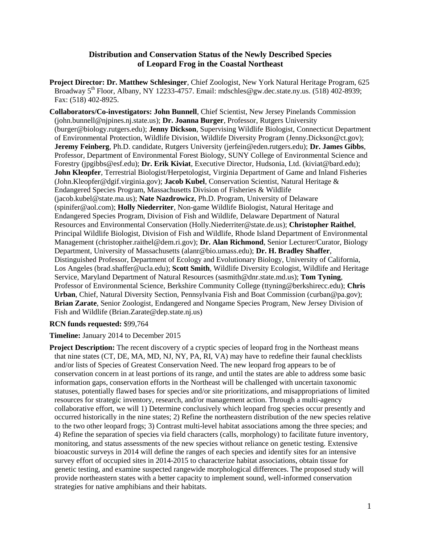#### **Distribution and Conservation Status of the Newly Described Species of Leopard Frog in the Coastal Northeast**

**Project Director: Dr. Matthew Schlesinger**, Chief Zoologist, New York Natural Heritage Program, 625 Broadway 5<sup>th</sup> Floor, Albany, NY 12233-4757. Email: mdschles@gw.dec.state.ny.us. (518) 402-8939; Fax: (518) 402-8925.

**Collaborators/Co-investigators: John Bunnell**, Chief Scientist, New Jersey Pinelands Commission (john.bunnell@njpines.nj.state.us); **Dr. Joanna Burger**, Professor, Rutgers University (burger@biology.rutgers.edu); **Jenny Dickson**, Supervising Wildlife Biologist, Connecticut Department of Environmental Protection, Wildlife Division, Wildlife Diversity Program (Jenny.Dickson@ct.gov); **Jeremy Feinberg**, Ph.D. candidate, Rutgers University (jerfein@eden.rutgers.edu); **Dr. James Gibbs**, Professor, Department of Environmental Forest Biology, SUNY College of Environmental Science and Forestry (jpgibbs@esf.edu); **Dr. Erik Kiviat**, Executive Director, Hudsonia, Ltd. (kiviat@bard.edu); **John Kleopfer**, Terrestrial Biologist/Herpetologist, Virginia Department of Game and Inland Fisheries (John.Kleopfer@dgif.virginia.gov); **Jacob Kubel**, Conservation Scientist, Natural Heritage & Endangered Species Program, Massachusetts Division of Fisheries & Wildlife (jacob.kubel@state.ma.us); **Nate Nazdrowicz**, Ph.D. Program, University of Delaware (spinifer@aol.com); **Holly Niederriter**, Non-game Wildlife Biologist, Natural Heritage and Endangered Species Program, Division of Fish and Wildlife, Delaware Department of Natural Resources and Environmental Conservation (Holly.Niederriter@state.de.us); **Christopher Raithel**, Principal Wildlife Biologist, Division of Fish and Wildlife, Rhode Island Department of Environmental Management (christopher.raithel@dem.ri.gov); **Dr. Alan Richmond**, Senior Lecturer/Curator, Biology Department, University of Massachusetts (alanr@bio.umass.edu); **Dr. H. Bradley Shaffer**, Distinguished Professor, Department of Ecology and Evolutionary Biology, University of California, Los Angeles (brad.shaffer@ucla.edu); **Scott Smith**, Wildlife Diversity Ecologist, Wildlife and Heritage Service, Maryland Department of Natural Resources (sasmith@dnr.state.md.us); **Tom Tyning**, Professor of Environmental Science, Berkshire Community College (ttyning@berkshirecc.edu); **Chris Urban**, Chief, Natural Diversity Section, Pennsylvania Fish and Boat Commission (curban@pa.gov); **Brian Zarate**, Senior Zoologist, Endangered and Nongame Species Program, New Jersey Division of Fish and Wildlife (Brian.Zarate@dep.state.nj.us)

**RCN funds requested:** \$99,764

**Timeline:** January 2014 to December 2015

**Project Description:** The recent discovery of a cryptic species of leopard frog in the Northeast means that nine states (CT, DE, MA, MD, NJ, NY, PA, RI, VA) may have to redefine their faunal checklists and/or lists of Species of Greatest Conservation Need. The new leopard frog appears to be of conservation concern in at least portions of its range, and until the states are able to address some basic information gaps, conservation efforts in the Northeast will be challenged with uncertain taxonomic statuses, potentially flawed bases for species and/or site prioritizations, and misappropriations of limited resources for strategic inventory, research, and/or management action. Through a multi-agency collaborative effort, we will 1) Determine conclusively which leopard frog species occur presently and occurred historically in the nine states; 2) Refine the northeastern distribution of the new species relative to the two other leopard frogs; 3) Contrast multi-level habitat associations among the three species; and 4) Refine the separation of species via field characters (calls, morphology) to facilitate future inventory, monitoring, and status assessments of the new species without reliance on genetic testing. Extensive bioacoustic surveys in 2014 will define the ranges of each species and identify sites for an intensive survey effort of occupied sites in 2014-2015 to characterize habitat associations, obtain tissue for genetic testing, and examine suspected rangewide morphological differences. The proposed study will provide northeastern states with a better capacity to implement sound, well-informed conservation strategies for native amphibians and their habitats.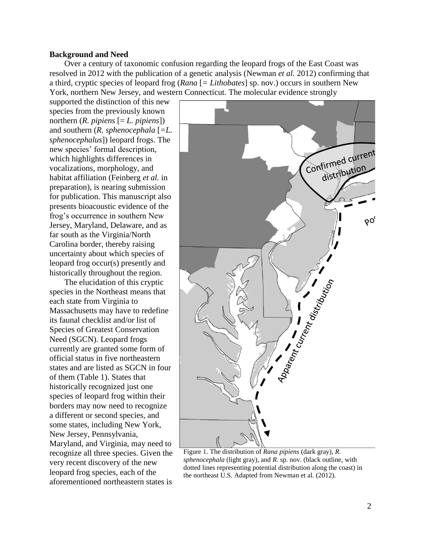#### **Background and Need**

Over a century of taxonomic confusion regarding the leopard frogs of the East Coast was resolved in 2012 with the publication of a genetic analysis (Newman *et al.* 2012) confirming that a third, cryptic species of leopard frog (*Rana* [*= Lithobates*] sp. nov.) occurs in southern New York, northern New Jersey, and western Connecticut. The molecular evidence strongly

supported the distinction of this new species from the previously known northern (*R. pipiens* [= *L. pipiens*]) and southern (*R. sphenocephala* [*=L. sphenocephalus*]) leopard frogs. The new species' formal description, which highlights differences in vocalizations, morphology, and habitat affiliation (Feinberg *et al.* in preparation), is nearing submission for publication. This manuscript also presents bioacoustic evidence of the frog's occurrence in southern New Jersey, Maryland, Delaware, and as far south as the Virginia/North Carolina border, thereby raising uncertainty about which species of leopard frog occur(s) presently and historically throughout the region.

The elucidation of this cryptic species in the Northeast means that each state from Virginia to Massachusetts may have to redefine its faunal checklist and/or list of Species of Greatest Conservation Need (SGCN). Leopard frogs currently are granted some form of official status in five northeastern states and are listed as SGCN in four of them (Table 1). States that historically recognized just one species of leopard frog within their borders may now need to recognize a different or second species, and some states, including New York, New Jersey, Pennsylvania, Maryland, and Virginia, may need to recognize all three species. Given the very recent discovery of the new leopard frog species, each of the aforementioned northeastern states is



Figure 1. The distribution of *Rana pipiens* (dark gray), *R. sphenocephala* (light gray), and *R.* sp. nov. (black outline, with dotted lines representing potential distribution along the coast) in the northeast U.S. Adapted from Newman et al. (2012).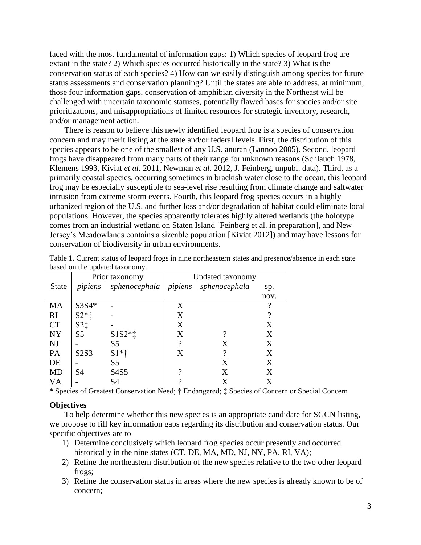faced with the most fundamental of information gaps: 1) Which species of leopard frog are extant in the state? 2) Which species occurred historically in the state? 3) What is the conservation status of each species? 4) How can we easily distinguish among species for future status assessments and conservation planning? Until the states are able to address, at minimum, those four information gaps, conservation of amphibian diversity in the Northeast will be challenged with uncertain taxonomic statuses, potentially flawed bases for species and/or site prioritizations, and misappropriations of limited resources for strategic inventory, research, and/or management action.

There is reason to believe this newly identified leopard frog is a species of conservation concern and may merit listing at the state and/or federal levels. First, the distribution of this species appears to be one of the smallest of any U.S. anuran (Lannoo 2005). Second, leopard frogs have disappeared from many parts of their range for unknown reasons (Schlauch 1978, Klemens 1993, Kiviat *et al.* 2011, Newman *et al.* 2012, J. Feinberg, unpubl. data). Third, as a primarily coastal species, occurring sometimes in brackish water close to the ocean, this leopard frog may be especially susceptible to sea-level rise resulting from climate change and saltwater intrusion from extreme storm events. Fourth, this leopard frog species occurs in a highly urbanized region of the U.S. and further loss and/or degradation of habitat could eliminate local populations. However, the species apparently tolerates highly altered wetlands (the holotype comes from an industrial wetland on Staten Island [Feinberg et al. in preparation], and New Jersey's Meadowlands contains a sizeable population [Kiviat 2012]) and may have lessons for conservation of biodiversity in urban environments.

|              |                | Prior taxonomy | <b>Updated taxonomy</b> |                       |      |  |
|--------------|----------------|----------------|-------------------------|-----------------------|------|--|
| <b>State</b> | pipiens        | sphenocephala  |                         | pipiens sphenocephala | sp.  |  |
|              |                |                |                         |                       | nov. |  |
| MA           | $S3S4*$        |                | X                       |                       |      |  |
| <b>RI</b>    | $S2*t$         |                | X                       |                       | 9    |  |
| <b>CT</b>    | $S2\ddagger$   |                | X                       |                       | X    |  |
| <b>NY</b>    | S <sub>5</sub> | $S1S2*1$       | X                       | າ                     | X    |  |
| <b>NJ</b>    |                | S <sub>5</sub> | 9                       | X                     | X    |  |
| PA           | S2S3           | $S1*†$         | X                       | 9                     | X    |  |
| DE           |                | S <sub>5</sub> |                         | X                     | X    |  |
| <b>MD</b>    | S4             | S4S5           | റ                       | X                     | X    |  |
| VA           |                | S <sub>4</sub> |                         | X                     | X    |  |

Table 1. Current status of leopard frogs in nine northeastern states and presence/absence in each state based on the updated taxonomy.

\* Species of Greatest Conservation Need; † Endangered; ‡ Species of Concern or Special Concern

#### **Objectives**

To help determine whether this new species is an appropriate candidate for SGCN listing, we propose to fill key information gaps regarding its distribution and conservation status. Our specific objectives are to

- 1) Determine conclusively which leopard frog species occur presently and occurred historically in the nine states (CT, DE, MA, MD, NJ, NY, PA, RI, VA);
- 2) Refine the northeastern distribution of the new species relative to the two other leopard frogs;
- 3) Refine the conservation status in areas where the new species is already known to be of concern;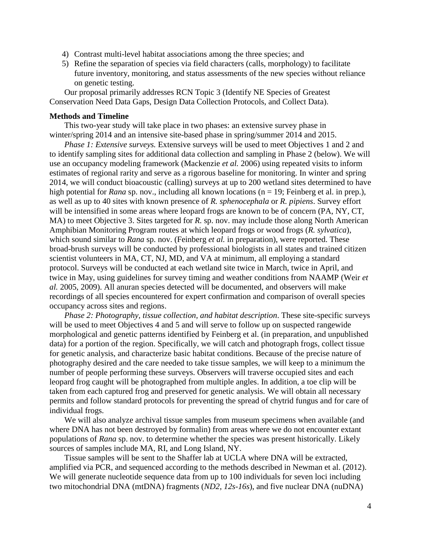- 4) Contrast multi-level habitat associations among the three species; and
- 5) Refine the separation of species via field characters (calls, morphology) to facilitate future inventory, monitoring, and status assessments of the new species without reliance on genetic testing.

Our proposal primarily addresses RCN Topic 3 (Identify NE Species of Greatest Conservation Need Data Gaps, Design Data Collection Protocols, and Collect Data).

#### **Methods and Timeline**

This two-year study will take place in two phases: an extensive survey phase in winter/spring 2014 and an intensive site-based phase in spring/summer 2014 and 2015.

*Phase 1: Extensive surveys.* Extensive surveys will be used to meet Objectives 1 and 2 and to identify sampling sites for additional data collection and sampling in Phase 2 (below). We will use an occupancy modeling framework (Mackenzie *et al.* 2006) using repeated visits to inform estimates of regional rarity and serve as a rigorous baseline for monitoring. In winter and spring 2014, we will conduct bioacoustic (calling) surveys at up to 200 wetland sites determined to have high potential for *Rana* sp. nov., including all known locations (n = 19; Feinberg et al. in prep.), as well as up to 40 sites with known presence of *R. sphenocephala* or *R. pipiens*. Survey effort will be intensified in some areas where leopard frogs are known to be of concern (PA, NY, CT, MA) to meet Objective 3. Sites targeted for *R.* sp. nov. may include those along North American Amphibian Monitoring Program routes at which leopard frogs or wood frogs (*R. sylvatica*), which sound similar to *Rana* sp. nov. (Feinberg *et al.* in preparation), were reported. These broad-brush surveys will be conducted by professional biologists in all states and trained citizen scientist volunteers in MA, CT, NJ, MD, and VA at minimum, all employing a standard protocol. Surveys will be conducted at each wetland site twice in March, twice in April, and twice in May, using guidelines for survey timing and weather conditions from NAAMP (Weir *et al.* 2005, 2009). All anuran species detected will be documented, and observers will make recordings of all species encountered for expert confirmation and comparison of overall species occupancy across sites and regions.

*Phase 2: Photography, tissue collection, and habitat description*. These site-specific surveys will be used to meet Objectives 4 and 5 and will serve to follow up on suspected rangewide morphological and genetic patterns identified by Feinberg et al. (in preparation, and unpublished data) for a portion of the region. Specifically, we will catch and photograph frogs, collect tissue for genetic analysis, and characterize basic habitat conditions. Because of the precise nature of photography desired and the care needed to take tissue samples, we will keep to a minimum the number of people performing these surveys. Observers will traverse occupied sites and each leopard frog caught will be photographed from multiple angles. In addition, a toe clip will be taken from each captured frog and preserved for genetic analysis. We will obtain all necessary permits and follow standard protocols for preventing the spread of chytrid fungus and for care of individual frogs.

We will also analyze archival tissue samples from museum specimens when available (and where DNA has not been destroyed by formalin) from areas where we do not encounter extant populations of *Rana* sp. nov. to determine whether the species was present historically. Likely sources of samples include MA, RI, and Long Island, NY.

Tissue samples will be sent to the Shaffer lab at UCLA where DNA will be extracted, amplified via PCR, and sequenced according to the methods described in Newman et al. (2012). We will generate nucleotide sequence data from up to 100 individuals for seven loci including two mitochondrial DNA (mtDNA) fragments (*ND2*, *12s-16s*), and five nuclear DNA (nuDNA)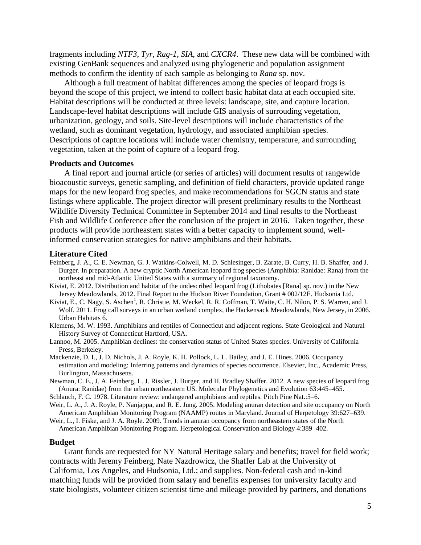fragments including *NTF3*, *Tyr*, *Rag-1*, *SIA*, and *CXCR4*. These new data will be combined with existing GenBank sequences and analyzed using phylogenetic and population assignment methods to confirm the identity of each sample as belonging to *Rana* sp. nov.

Although a full treatment of habitat differences among the species of leopard frogs is beyond the scope of this project, we intend to collect basic habitat data at each occupied site. Habitat descriptions will be conducted at three levels: landscape, site, and capture location. Landscape-level habitat descriptions will include GIS analysis of surrouding vegetation, urbanization, geology, and soils. Site-level descriptions will include characteristics of the wetland, such as dominant vegetation, hydrology, and associated amphibian species. Descriptions of capture locations will include water chemistry, temperature, and surrounding vegetation, taken at the point of capture of a leopard frog.

#### **Products and Outcomes**

A final report and journal article (or series of articles) will document results of rangewide bioacoustic surveys, genetic sampling, and definition of field characters, provide updated range maps for the new leopard frog species, and make recommendations for SGCN status and state listings where applicable. The project director will present preliminary results to the Northeast Wildlife Diversity Technical Committee in September 2014 and final results to the Northeast Fish and Wildlife Conference after the conclusion of the project in 2016. Taken together, these products will provide northeastern states with a better capacity to implement sound, wellinformed conservation strategies for native amphibians and their habitats.

#### **Literature Cited**

- Feinberg, J. A., C. E. Newman, G. J. Watkins-Colwell, M. D. Schlesinger, B. Zarate, B. Curry, H. B. Shaffer, and J. Burger. In preparation. A new cryptic North American leopard frog species (Amphibia: Ranidae: Rana) from the northeast and mid-Atlantic United States with a summary of regional taxonomy.
- Kiviat, E. 2012. Distribution and habitat of the undescribed leopard frog (Lithobates [Rana] sp. nov.) in the New Jersey Meadowlands, 2012. Final Report to the Hudson River Foundation, Grant # 002/12E. Hudsonia Ltd.
- Kiviat, E., C. Nagy, S. Aschen<sup>1</sup>, R. Christie, M. Weckel, R. R. Coffman, T. Waite, C. H. Nilon, P. S. Warren, and J. Wolf. 2011. Frog call surveys in an urban wetland complex, the Hackensack Meadowlands, New Jersey, in 2006. Urban Habitats 6.
- Klemens, M. W. 1993. Amphibians and reptiles of Connecticut and adjacent regions. State Geological and Natural History Survey of Connecticut Hartford, USA.
- Lannoo, M. 2005. Amphibian declines: the conservation status of United States species. University of California Press, Berkeley.
- Mackenzie, D. I., J. D. Nichols, J. A. Royle, K. H. Pollock, L. L. Bailey, and J. E. Hines. 2006. Occupancy estimation and modeling: Inferring patterns and dynamics of species occurrence. Elsevier, Inc., Academic Press, Burlington, Massachusetts.
- Newman, C. E., J. A. Feinberg, L. J. Rissler, J. Burger, and H. Bradley Shaffer. 2012. A new species of leopard frog (Anura: Ranidae) from the urban northeastern US. Molecular Phylogenetics and Evolution 63:445–455.
- Schlauch, F. C. 1978. Literature review: endangered amphibians and reptiles. Pitch Pine Nat.:5–6.
- Weir, L. A., J. A. Royle, P. Nanjappa, and R. E. Jung. 2005. Modeling anuran detection and site occupancy on North American Amphibian Monitoring Program (NAAMP) routes in Maryland. Journal of Herpetology 39:627–639.
- Weir, L., I. Fiske, and J. A. Royle. 2009. Trends in anuran occupancy from northeastern states of the North American Amphibian Monitoring Program. Herpetological Conservation and Biology 4:389–402.

#### **Budget**

Grant funds are requested for NY Natural Heritage salary and benefits; travel for field work; contracts with Jeremy Feinberg, Nate Nazdrowicz, the Shaffer Lab at the University of California, Los Angeles, and Hudsonia, Ltd.; and supplies. Non-federal cash and in-kind matching funds will be provided from salary and benefits expenses for university faculty and state biologists, volunteer citizen scientist time and mileage provided by partners, and donations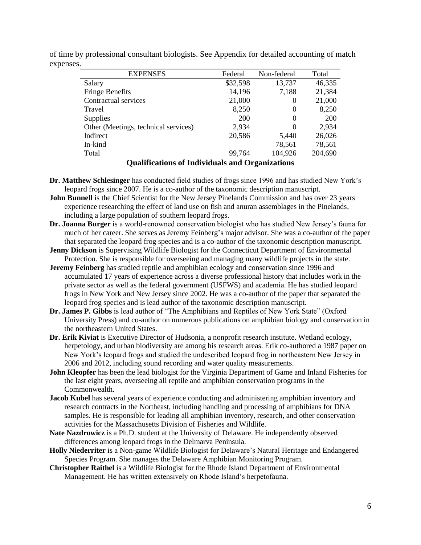| <b>EXPENSES</b>                      | Federal  | Non-federal | Total      |
|--------------------------------------|----------|-------------|------------|
| Salary                               | \$32,598 | 13,737      | 46,335     |
| <b>Fringe Benefits</b>               | 14,196   | 7,188       | 21,384     |
| Contractual services                 | 21,000   | $\theta$    | 21,000     |
| Travel                               | 8,250    | 0           | 8,250      |
| <b>Supplies</b>                      | 200      | 0           | <b>200</b> |
| Other (Meetings, technical services) | 2,934    | 0           | 2,934      |
| Indirect                             | 20,586   | 5,440       | 26,026     |
| In-kind                              |          | 78,561      | 78,561     |
| Total                                | 99,764   | 104,926     | 204,690    |

of time by professional consultant biologists. See Appendix for detailed accounting of match expenses.

#### **Qualifications of Individuals and Organizations**

- **Dr. Matthew Schlesinger** has conducted field studies of frogs since 1996 and has studied New York's leopard frogs since 2007. He is a co-author of the taxonomic description manuscript.
- **John Bunnell** is the Chief Scientist for the New Jersey Pinelands Commission and has over 23 years experience researching the effect of land use on fish and anuran assemblages in the Pinelands, including a large population of southern leopard frogs.
- **Dr. Joanna Burger** is a world-renowned conservation biologist who has studied New Jersey's fauna for much of her career. She serves as Jeremy Feinberg's major advisor. She was a co-author of the paper that separated the leopard frog species and is a co-author of the taxonomic description manuscript.
- **Jenny Dickson** is Supervising Wildlife Biologist for the Connecticut Department of Environmental Protection. She is responsible for overseeing and managing many wildlife projects in the state.
- **Jeremy Feinberg** has studied reptile and amphibian ecology and conservation since 1996 and accumulated 17 years of experience across a diverse professional history that includes work in the private sector as well as the federal government (USFWS) and academia. He has studied leopard frogs in New York and New Jersey since 2002. He was a co-author of the paper that separated the leopard frog species and is lead author of the taxonomic description manuscript.
- **Dr. James P. Gibbs** is lead author of "The Amphibians and Reptiles of New York State" (Oxford University Press) and co-author on numerous publications on amphibian biology and conservation in the northeastern United States.
- **Dr. Erik Kiviat** is Executive Director of Hudsonia, a nonprofit research institute. Wetland ecology, herpetology, and urban biodiversity are among his research areas. Erik co-authored a 1987 paper on New York's leopard frogs and studied the undescribed leopard frog in northeastern New Jersey in 2006 and 2012, including sound recording and water quality measurements.
- **John Kleopfer** has been the lead biologist for the Virginia Department of Game and Inland Fisheries for the last eight years, overseeing all reptile and amphibian conservation programs in the Commonwealth.
- **Jacob Kubel** has several years of experience conducting and administering amphibian inventory and research contracts in the Northeast, including handling and processing of amphibians for DNA samples. He is responsible for leading all amphibian inventory, research, and other conservation activities for the Massachusetts Division of Fisheries and Wildlife.
- **Nate Nazdrowicz** is a Ph.D. student at the University of Delaware. He independently observed differences among leopard frogs in the Delmarva Peninsula.
- **Holly Niederriter** is a Non-game Wildlife Biologist for Delaware's Natural Heritage and Endangered Species Program. She manages the Delaware Amphibian Monitoring Program.
- **Christopher Raithel** is a Wildlife Biologist for the Rhode Island Department of Environmental Management. He has written extensively on Rhode Island's herpetofauna.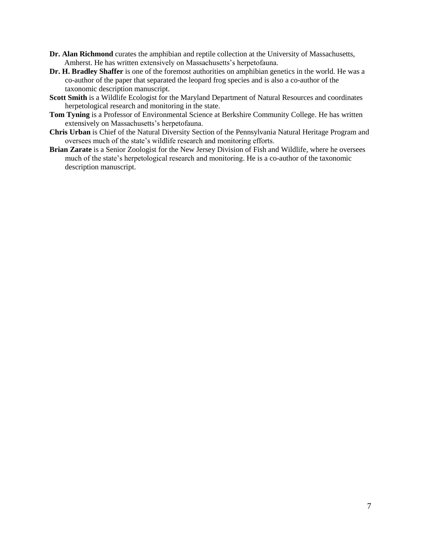- **Dr. Alan Richmond** curates the amphibian and reptile collection at the University of Massachusetts, Amherst. He has written extensively on Massachusetts's herpetofauna.
- **Dr. H. Bradley Shaffer** is one of the foremost authorities on amphibian genetics in the world. He was a co-author of the paper that separated the leopard frog species and is also a co-author of the taxonomic description manuscript.
- **Scott Smith** is a Wildlife Ecologist for the Maryland Department of Natural Resources and coordinates herpetological research and monitoring in the state.
- **Tom Tyning** is a Professor of Environmental Science at Berkshire Community College. He has written extensively on Massachusetts's herpetofauna.
- **Chris Urban** is Chief of the Natural Diversity Section of the Pennsylvania Natural Heritage Program and oversees much of the state's wildlife research and monitoring efforts.
- **Brian Zarate** is a Senior Zoologist for the New Jersey Division of Fish and Wildlife, where he oversees much of the state's herpetological research and monitoring. He is a co-author of the taxonomic description manuscript.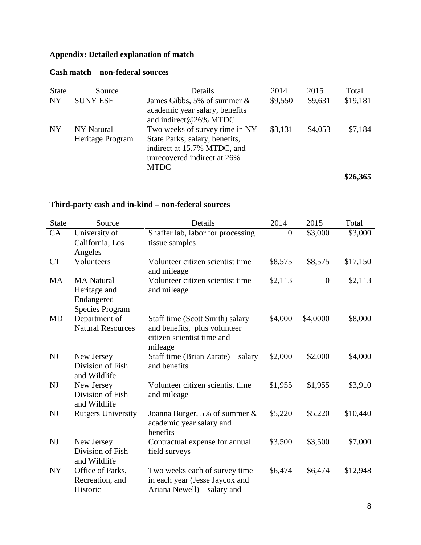# **Appendix: Detailed explanation of match**

| <b>State</b> | Source                         | Details                                                                                                                                       | 2014    | 2015    | Total    |
|--------------|--------------------------------|-----------------------------------------------------------------------------------------------------------------------------------------------|---------|---------|----------|
| <b>NY</b>    | <b>SUNY ESF</b>                | James Gibbs, 5% of summer $\&$<br>academic year salary, benefits<br>and indirect@26% MTDC                                                     | \$9,550 | \$9,631 | \$19,181 |
| NY           | NY Natural<br>Heritage Program | Two weeks of survey time in NY<br>State Parks; salary, benefits,<br>indirect at 15.7% MTDC, and<br>unrecovered indirect at 26%<br><b>MTDC</b> | \$3,131 | \$4,053 | \$7,184  |
|              |                                |                                                                                                                                               |         |         | \$26,365 |

### **Cash match – non-federal sources**

## **Third-party cash and in-kind – non-federal sources**

| <b>State</b> | Source                                                                    | Details                                                                                                  | 2014             | 2015             | Total    |
|--------------|---------------------------------------------------------------------------|----------------------------------------------------------------------------------------------------------|------------------|------------------|----------|
| CA           | University of<br>California, Los                                          | Shaffer lab, labor for processing<br>tissue samples                                                      | $\boldsymbol{0}$ | \$3,000          | \$3,000  |
| <b>CT</b>    | Angeles<br>Volunteers                                                     | Volunteer citizen scientist time<br>and mileage                                                          | \$8,575          | \$8,575          | \$17,150 |
| MA           | <b>MA</b> Natural<br>Heritage and<br>Endangered<br><b>Species Program</b> | Volunteer citizen scientist time<br>and mileage                                                          | \$2,113          | $\boldsymbol{0}$ | \$2,113  |
| MD           | Department of<br><b>Natural Resources</b>                                 | Staff time (Scott Smith) salary<br>and benefits, plus volunteer<br>citizen scientist time and<br>mileage | \$4,000          | \$4,0000         | \$8,000  |
| NJ           | New Jersey<br>Division of Fish<br>and Wildlife                            | Staff time (Brian Zarate) – salary<br>and benefits                                                       | \$2,000          | \$2,000          | \$4,000  |
| NJ           | New Jersey<br>Division of Fish<br>and Wildlife                            | Volunteer citizen scientist time<br>and mileage                                                          | \$1,955          | \$1,955          | \$3,910  |
| NJ           | <b>Rutgers University</b>                                                 | Joanna Burger, 5% of summer &<br>academic year salary and<br>benefits                                    | \$5,220          | \$5,220          | \$10,440 |
| NJ           | New Jersey<br>Division of Fish<br>and Wildlife                            | Contractual expense for annual<br>field surveys                                                          | \$3,500          | \$3,500          | \$7,000  |
| <b>NY</b>    | Office of Parks,<br>Recreation, and<br>Historic                           | Two weeks each of survey time<br>in each year (Jesse Jaycox and<br>Ariana Newell) – salary and           | \$6,474          | \$6,474          | \$12,948 |